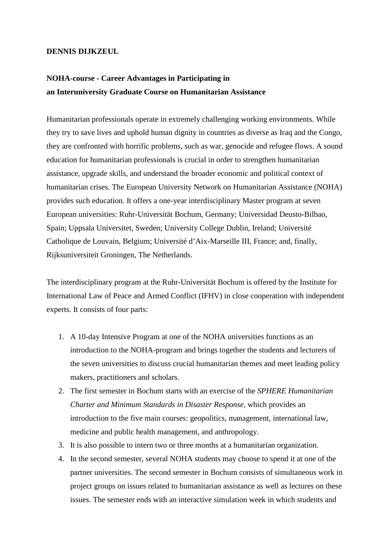## **DENNIS DIJKZEUL**

## **NOHA-course - Career Advantages in Participating in an Interuniversity Graduate Course on Humanitarian Assistance**

Humanitarian professionals operate in extremely challenging working environments. While they try to save lives and uphold human dignity in countries as diverse as Iraq and the Congo, they are confronted with horrific problems, such as war, genocide and refugee flows. A sound education for humanitarian professionals is crucial in order to strengthen humanitarian assistance, upgrade skills, and understand the broader economic and political context of humanitarian crises. The European University Network on Humanitarian Assistance (NOHA) provides such education. It offers a one-year interdisciplinary Master program at seven European universities: Ruhr-Universität Bochum, Germany; Universidad Deusto-Bilbao, Spain; Uppsala Universitet, Sweden; University College Dublin, Ireland; Université Catholique de Louvain, Belgium; Université d'Aix-Marseille III, France; and, finally, Rijksuniversiteit Groningen, The Netherlands.

The interdisciplinary program at the Ruhr-Universität Bochum is offered by the Institute for International Law of Peace and Armed Conflict (IFHV) in close cooperation with independent experts. It consists of four parts:

- 1. A 10-day Intensive Program at one of the NOHA universities functions as an introduction to the NOHA-program and brings together the students and lecturers of the seven universities to discuss crucial humanitarian themes and meet leading policy makers, practitioners and scholars.
- 2. The first semester in Bochum starts with an exercise of the *SPHERE Humanitarian Charter and Minimum Standards in Disaster Response*, which provides an introduction to the five main courses: geopolitics, management, international law, medicine and public health management, and anthropology.
- 3. It is also possible to intern two or three months at a humanitarian organization.
- 4. In the second semester, several NOHA students may choose to spend it at one of the partner universities. The second semester in Bochum consists of simultaneous work in project groups on issues related to humanitarian assistance as well as lectures on these issues. The semester ends with an interactive simulation week in which students and